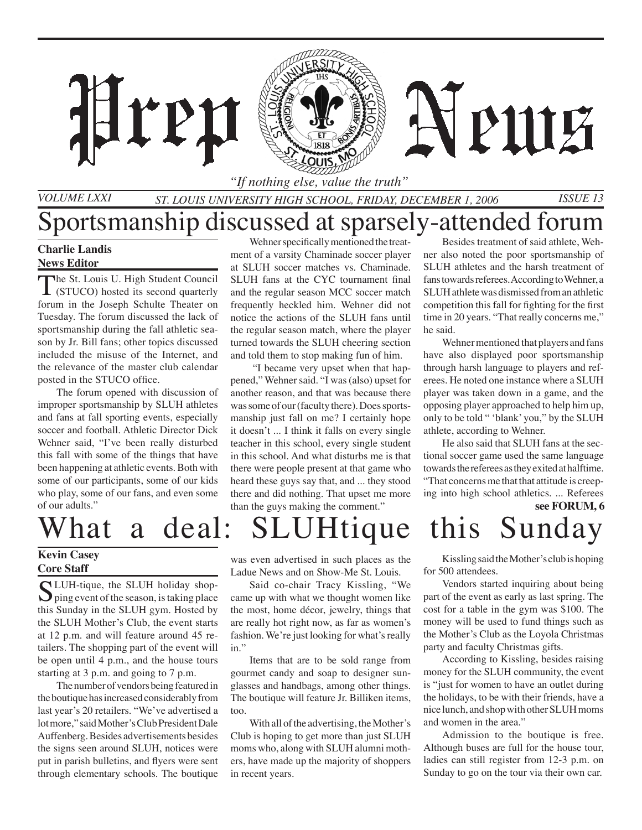*"If nothing else, value the truth"*

*St. Louis University High School, Friday, DECEMBER 1, 2006 Issue 13*

### **Charlie Landis**

*Volume LXXI*

#### **News Editor**

The St. Louis U. High Student Council<br>
(STUCO) hosted its second quarterly forum in the Joseph Schulte Theater on Tuesday. The forum discussed the lack of sportsmanship during the fall athletic season by Jr. Bill fans; other topics discussed included the misuse of the Internet, and the relevance of the master club calendar posted in the STUCO office.

**TP11** 

 The forum opened with discussion of improper sportsmanship by SLUH athletes and fans at fall sporting events, especially soccer and football. Athletic Director Dick Wehner said, "I've been really disturbed this fall with some of the things that have been happening at athletic events. Both with some of our participants, some of our kids who play, some of our fans, and even some of our adults."

Sportsmanship discussed at sparsely-attended forum Wehner specifically mentioned the treatment of a varsity Chaminade soccer player at SLUH soccer matches vs. Chaminade. SLUH fans at the CYC tournament final and the regular season MCC soccer match frequently heckled him. Wehner did not notice the actions of the SLUH fans until the regular season match, where the player turned towards the SLUH cheering section and told them to stop making fun of him.

> "I became very upset when that happened," Wehner said. "I was (also) upset for another reason, and that was because there was some of our (faculty there). Does sportsmanship just fall on me? I certainly hope it doesn't ... I think it falls on every single teacher in this school, every single student in this school. And what disturbs me is that there were people present at that game who heard these guys say that, and ... they stood there and did nothing. That upset me more than the guys making the comment."

### Besides treatment of said athlete, Wehner also noted the poor sportsmanship of SLUH athletes and the harsh treatment of fans towards referees. According to Wehner, a SLUH athlete was dismissed from an athletic competition this fall for fighting for the first time in 20 years. "That really concerns me," he said.

PIITE

 Wehner mentioned that players and fans have also displayed poor sportsmanship through harsh language to players and referees. He noted one instance where a SLUH player was taken down in a game, and the opposing player approached to help him up, only to be told " 'blank' you," by the SLUH athlete, according to Wehner.

**see FORUM, 6** He also said that SLUH fans at the sectional soccer game used the same language towards the referees as they exited at halftime. "That concerns me that that attitude is creeping into high school athletics. ... Referees

# What a deal: SLUHtique this Sunday

### **Kevin Casey Core Staff**

SLUH-tique, the SLUH holiday shop-<br>ping event of the season, is taking place this Sunday in the SLUH gym. Hosted by the SLUH Mother's Club, the event starts at 12 p.m. and will feature around 45 retailers. The shopping part of the event will be open until 4 p.m., and the house tours starting at 3 p.m. and going to 7 p.m.

The number of vendors being featured in the boutique has increased considerably from last year's 20 retailers. "We've advertised a lot more," said Mother's Club President Dale Auffenberg. Besides advertisements besides the signs seen around SLUH, notices were put in parish bulletins, and flyers were sent through elementary schools. The boutique

was even advertised in such places as the Ladue News and on Show-Me St. Louis.

Said co-chair Tracy Kissling, "We came up with what we thought women like the most, home décor, jewelry, things that are really hot right now, as far as women's fashion. We're just looking for what's really in."

Items that are to be sold range from gourmet candy and soap to designer sunglasses and handbags, among other things. The boutique will feature Jr. Billiken items, too.

With all of the advertising, the Mother's Club is hoping to get more than just SLUH moms who, along with SLUH alumni mothers, have made up the majority of shoppers in recent years.

Kissling said the Mother's club is hoping for 500 attendees.

Vendors started inquiring about being part of the event as early as last spring. The cost for a table in the gym was \$100. The money will be used to fund things such as the Mother's Club as the Loyola Christmas party and faculty Christmas gifts.

According to Kissling, besides raising money for the SLUH community, the event is "just for women to have an outlet during the holidays, to be with their friends, have a nice lunch, and shop with other SLUH moms and women in the area."

Admission to the boutique is free. Although buses are full for the house tour, ladies can still register from 12-3 p.m. on Sunday to go on the tour via their own car.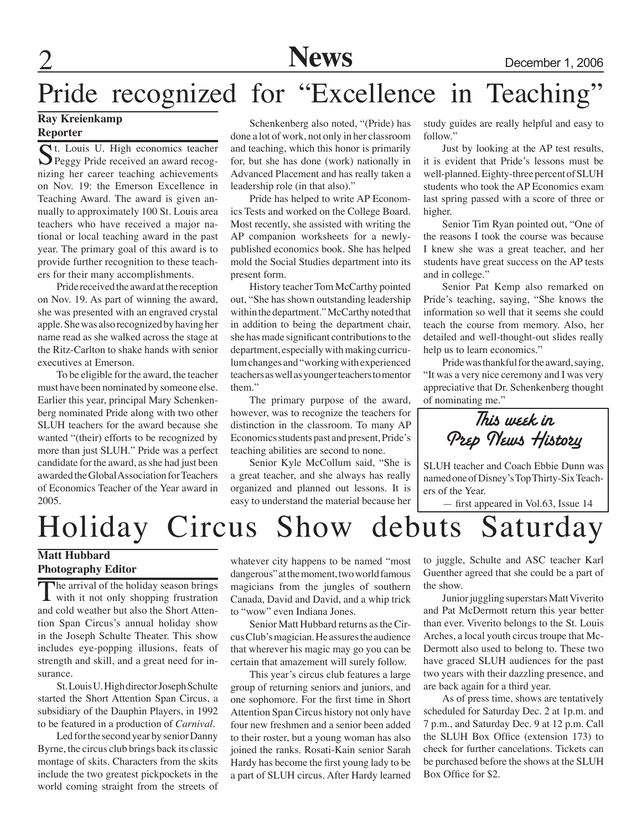2 **News** December 1, 2006

## Pride recognized for "Excellence in Teaching"

### **Ray Kreienkamp Reporter**

St. Louis U. High economics teacher<br>Peggy Pride received an award recognizing her career teaching achievements on Nov. 19: the Emerson Excellence in Teaching Award. The award is given annually to approximately 100 St. Louis area teachers who have received a major national or local teaching award in the past year. The primary goal of this award is to provide further recognition to these teachers for their many accomplishments.

Pride received the award at the reception on Nov. 19. As part of winning the award, she was presented with an engraved crystal apple. She was also recognized by having her name read as she walked across the stage at the Ritz-Carlton to shake hands with senior executives at Emerson.

To be eligible for the award, the teacher must have been nominated by someone else. Earlier this year, principal Mary Schenkenberg nominated Pride along with two other SLUH teachers for the award because she wanted "(their) efforts to be recognized by more than just SLUH." Pride was a perfect candidate for the award, as she had just been awarded the Global Association for Teachers of Economics Teacher of the Year award in 2005.

Schenkenberg also noted, "(Pride) has done a lot of work, not only in her classroom and teaching, which this honor is primarily for, but she has done (work) nationally in Advanced Placement and has really taken a leadership role (in that also)."

Pride has helped to write AP Economics Tests and worked on the College Board. Most recently, she assisted with writing the AP companion worksheets for a newlypublished economics book. She has helped mold the Social Studies department into its present form.

History teacher Tom McCarthy pointed out, "She has shown outstanding leadership within the department." McCarthy noted that in addition to being the department chair, she has made significant contributions to the department, especially with making curriculum changes and "working with experienced teachers as well as younger teachers to mentor them."

The primary purpose of the award, however, was to recognize the teachers for distinction in the classroom. To many AP Economics students past and present, Pride's teaching abilities are second to none.

Senior Kyle McCollum said, "She is a great teacher, and she always has really organized and planned out lessons. It is easy to understand the material because her study guides are really helpful and easy to follow."

Just by looking at the AP test results, it is evident that Pride's lessons must be well-planned. Eighty-three percent of SLUH students who took the AP Economics exam last spring passed with a score of three or higher.

Senior Tim Ryan pointed out, "One of the reasons I took the course was because I knew she was a great teacher, and her students have great success on the AP tests and in college."

Senior Pat Kemp also remarked on Pride's teaching, saying, "She knows the information so well that it seems she could teach the course from memory. Also, her detailed and well-thought-out slides really help us to learn economics."

Pride was thankful for the award, saying, "It was a very nice ceremony and I was very appreciative that Dr. Schenkenberg thought of nominating me."

This week in Prep News History

SLUH teacher and Coach Ebbie Dunn was named one of Disney's Top Thirty-Six Teachers of the Year.

— first appeared in Vol.63, Issue 14

## Holiday Circus Show debuts Saturday

### **Matt Hubbard Photography Editor**

The arrival of the holiday season brings<br>with it not only shopping frustration and cold weather but also the Short Attention Span Circus's annual holiday show in the Joseph Schulte Theater. This show includes eye-popping illusions, feats of strength and skill, and a great need for insurance.

St. Louis U. High director Joseph Schulte started the Short Attention Span Circus, a subsidiary of the Dauphin Players, in 1992 to be featured in a production of *Carnival*.

Led for the second year by senior Danny Byrne, the circus club brings back its classic montage of skits. Characters from the skits include the two greatest pickpockets in the world coming straight from the streets of

whatever city happens to be named "most dangerous" at the moment, two world famous magicians from the jungles of southern Canada, David and David, and a whip trick to "wow" even Indiana Jones.

Senior Matt Hubbard returns as the Circus Club's magician. He assures the audience that wherever his magic may go you can be certain that amazement will surely follow.

This year's circus club features a large group of returning seniors and juniors, and one sophomore. For the first time in Short Attention Span Circus history not only have four new freshmen and a senior been added to their roster, but a young woman has also joined the ranks. Rosati-Kain senior Sarah Hardy has become the first young lady to be a part of SLUH circus. After Hardy learned

to juggle, Schulte and ASC teacher Karl Guenther agreed that she could be a part of the show.

Junior juggling superstars Matt Viverito and Pat McDermott return this year better than ever. Viverito belongs to the St. Louis Arches, a local youth circus troupe that Mc-Dermott also used to belong to. These two have graced SLUH audiences for the past two years with their dazzling presence, and are back again for a third year.

As of press time, shows are tentatively scheduled for Saturday Dec. 2 at 1p.m. and 7 p.m., and Saturday Dec. 9 at 12 p.m. Call the SLUH Box Office (extension 173) to check for further cancelations. Tickets can be purchased before the shows at the SLUH Box Office for \$2.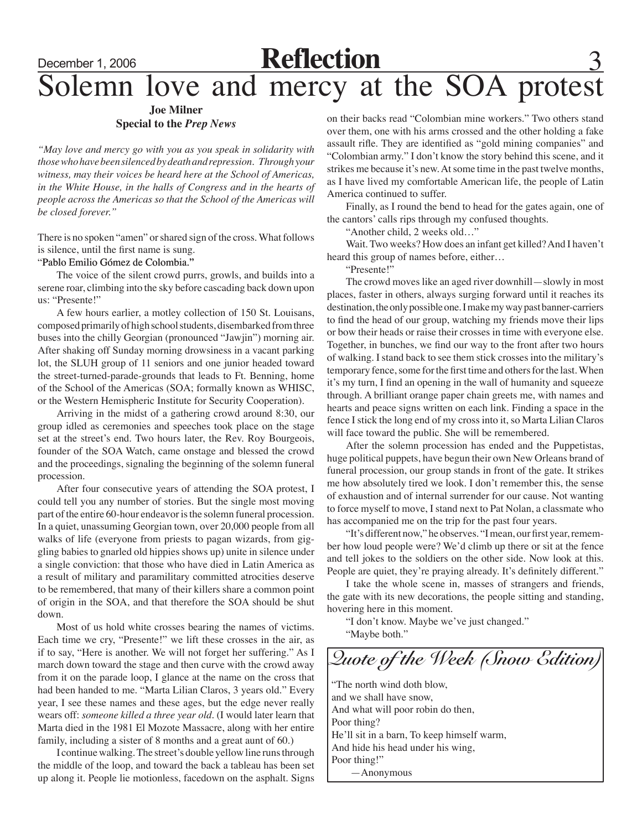## December 1, 2006 **Reflection** 3 Solemn love and mercy at the SOA protest

### **Joe Milner Special to the** *Prep News*

*"May love and mercy go with you as you speak in solidarity with those who have been silenced by death and repression. Through your witness, may their voices be heard here at the School of Americas, in the White House, in the halls of Congress and in the hearts of people across the Americas so that the School of the Americas will be closed forever."*

There is no spoken "amen" or shared sign of the cross. What follows is silence, until the first name is sung.

### "Pablo Emilio Gómez de Colombia."

The voice of the silent crowd purrs, growls, and builds into a serene roar, climbing into the sky before cascading back down upon us: "Presente!"

A few hours earlier, a motley collection of 150 St. Louisans, composed primarily of high school students, disembarked from three buses into the chilly Georgian (pronounced "Jawjin") morning air. After shaking off Sunday morning drowsiness in a vacant parking lot, the SLUH group of 11 seniors and one junior headed toward the street-turned-parade-grounds that leads to Ft. Benning, home of the School of the Americas (SOA; formally known as WHISC, or the Western Hemispheric Institute for Security Cooperation).

Arriving in the midst of a gathering crowd around 8:30, our group idled as ceremonies and speeches took place on the stage set at the street's end. Two hours later, the Rev. Roy Bourgeois, founder of the SOA Watch, came onstage and blessed the crowd and the proceedings, signaling the beginning of the solemn funeral procession.

After four consecutive years of attending the SOA protest, I could tell you any number of stories. But the single most moving part of the entire 60-hour endeavor is the solemn funeral procession. In a quiet, unassuming Georgian town, over 20,000 people from all walks of life (everyone from priests to pagan wizards, from giggling babies to gnarled old hippies shows up) unite in silence under a single conviction: that those who have died in Latin America as a result of military and paramilitary committed atrocities deserve to be remembered, that many of their killers share a common point of origin in the SOA, and that therefore the SOA should be shut down.

Most of us hold white crosses bearing the names of victims. Each time we cry, "Presente!" we lift these crosses in the air, as if to say, "Here is another. We will not forget her suffering." As I march down toward the stage and then curve with the crowd away from it on the parade loop, I glance at the name on the cross that had been handed to me. "Marta Lilian Claros, 3 years old." Every year, I see these names and these ages, but the edge never really wears off: *someone killed a three year old*. (I would later learn that Marta died in the 1981 El Mozote Massacre, along with her entire family, including a sister of 8 months and a great aunt of 60.)

I continue walking. The street's double yellow line runs through the middle of the loop, and toward the back a tableau has been set up along it. People lie motionless, facedown on the asphalt. Signs

on their backs read "Colombian mine workers." Two others stand over them, one with his arms crossed and the other holding a fake assault rifle. They are identified as "gold mining companies" and "Colombian army." I don't know the story behind this scene, and it strikes me because it's new. At some time in the past twelve months, as I have lived my comfortable American life, the people of Latin America continued to suffer.

Finally, as I round the bend to head for the gates again, one of the cantors' calls rips through my confused thoughts.

"Another child, 2 weeks old…"

Wait. Two weeks? How does an infant get killed? And I haven't heard this group of names before, either…

"Presente!"

The crowd moves like an aged river downhill—slowly in most places, faster in others, always surging forward until it reaches its destination, the only possible one. I make my way past banner-carriers to find the head of our group, watching my friends move their lips or bow their heads or raise their crosses in time with everyone else. Together, in bunches, we find our way to the front after two hours of walking. I stand back to see them stick crosses into the military's temporary fence, some for the first time and others for the last. When it's my turn, I find an opening in the wall of humanity and squeeze through. A brilliant orange paper chain greets me, with names and hearts and peace signs written on each link. Finding a space in the fence I stick the long end of my cross into it, so Marta Lilian Claros will face toward the public. She will be remembered.

After the solemn procession has ended and the Puppetistas, huge political puppets, have begun their own New Orleans brand of funeral procession, our group stands in front of the gate. It strikes me how absolutely tired we look. I don't remember this, the sense of exhaustion and of internal surrender for our cause. Not wanting to force myself to move, I stand next to Pat Nolan, a classmate who has accompanied me on the trip for the past four years.

"It's different now," he observes. "I mean, our first year, remember how loud people were? We'd climb up there or sit at the fence and tell jokes to the soldiers on the other side. Now look at this. People are quiet, they're praying already. It's definitely different."

I take the whole scene in, masses of strangers and friends, the gate with its new decorations, the people sitting and standing, hovering here in this moment.

"I don't know. Maybe we've just changed." "Maybe both."

"The north wind doth blow, and we shall have snow, And what will poor robin do then, Poor thing? He'll sit in a barn, To keep himself warm, And hide his head under his wing, Poor thing!" —Anonymous *Quote of the Week (Snow Edition)*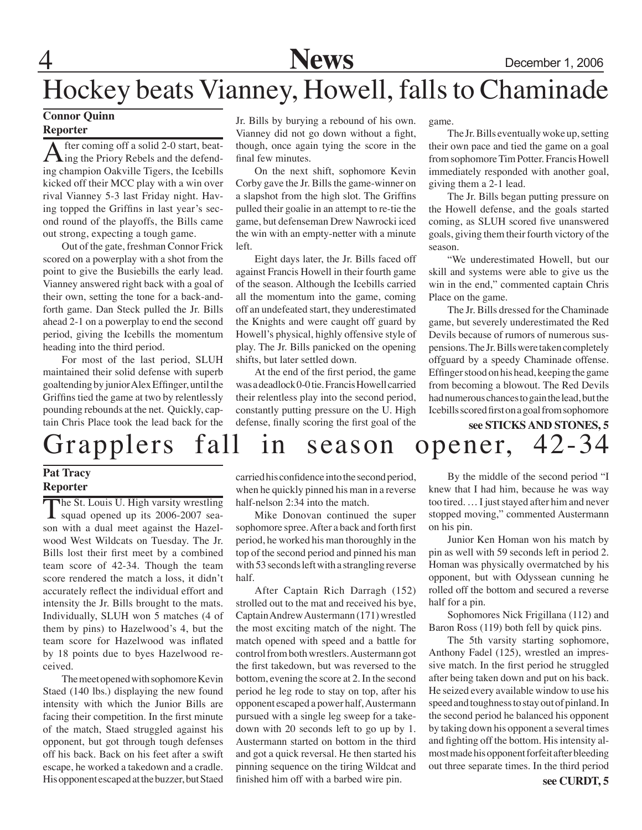

## Hockey beats Vianney, Howell, falls to Chaminade

### **Connor Quinn**

### **Reporter**

After coming off a solid 2-0 start, beat-<br>ing the Priory Rebels and the defending champion Oakville Tigers, the Icebills kicked off their MCC play with a win over rival Vianney 5-3 last Friday night. Having topped the Griffins in last year's second round of the playoffs, the Bills came out strong, expecting a tough game.

Out of the gate, freshman Connor Frick scored on a powerplay with a shot from the point to give the Busiebills the early lead. Vianney answered right back with a goal of their own, setting the tone for a back-andforth game. Dan Steck pulled the Jr. Bills ahead 2-1 on a powerplay to end the second period, giving the Icebills the momentum heading into the third period.

For most of the last period, SLUH maintained their solid defense with superb goaltending by junior Alex Effinger, until the Griffins tied the game at two by relentlessly pounding rebounds at the net. Quickly, captain Chris Place took the lead back for the Jr. Bills by burying a rebound of his own. Vianney did not go down without a fight, though, once again tying the score in the final few minutes.

On the next shift, sophomore Kevin Corby gave the Jr. Bills the game-winner on a slapshot from the high slot. The Griffins pulled their goalie in an attempt to re-tie the game, but defenseman Drew Nawrocki iced the win with an empty-netter with a minute left.

Eight days later, the Jr. Bills faced off against Francis Howell in their fourth game of the season. Although the Icebills carried all the momentum into the game, coming off an undefeated start, they underestimated the Knights and were caught off guard by Howell's physical, highly offensive style of play. The Jr. Bills panicked on the opening shifts, but later settled down.

At the end of the first period, the game was a deadlock 0-0 tie. Francis Howell carried their relentless play into the second period, constantly putting pressure on the U. High defense, finally scoring the first goal of the

game.

The Jr. Bills eventually woke up, setting their own pace and tied the game on a goal from sophomore Tim Potter. Francis Howell immediately responded with another goal, giving them a 2-1 lead.

The Jr. Bills began putting pressure on the Howell defense, and the goals started coming, as SLUH scored five unanswered goals, giving them their fourth victory of the season.

"We underestimated Howell, but our skill and systems were able to give us the win in the end," commented captain Chris Place on the game.

The Jr. Bills dressed for the Chaminade game, but severely underestimated the Red Devils because of rumors of numerous suspensions. The Jr. Bills were taken completely offguard by a speedy Chaminade offense. Effinger stood on his head, keeping the game from becoming a blowout. The Red Devils had numerous chances to gain the lead, but the Icebills scored first on a goal from sophomore

### Grapplers fall in season opener, 42-34 **see STICKS AND STONES, 5**

### **Pat Tracy Reporter**

The St. Louis U. High varsity wrestling<br>squad opened up its 2006-2007 season with a dual meet against the Hazelwood West Wildcats on Tuesday. The Jr. Bills lost their first meet by a combined team score of 42-34. Though the team score rendered the match a loss, it didn't accurately reflect the individual effort and intensity the Jr. Bills brought to the mats. Individually, SLUH won 5 matches (4 of them by pins) to Hazelwood's 4, but the team score for Hazelwood was inflated by 18 points due to byes Hazelwood received.

The meet opened with sophomore Kevin Staed (140 lbs.) displaying the new found intensity with which the Junior Bills are facing their competition. In the first minute of the match, Staed struggled against his opponent, but got through tough defenses off his back. Back on his feet after a swift escape, he worked a takedown and a cradle. His opponent escaped at the buzzer, but Staed carried his confidence into the second period, when he quickly pinned his man in a reverse half-nelson 2:34 into the match.

Mike Donovan continued the super sophomore spree. After a back and forth first period, he worked his man thoroughly in the top of the second period and pinned his man with 53 seconds left with a strangling reverse half.

After Captain Rich Darragh (152) strolled out to the mat and received his bye, Captain Andrew Austermann (171) wrestled the most exciting match of the night. The match opened with speed and a battle for control from both wrestlers. Austermann got the first takedown, but was reversed to the bottom, evening the score at 2. In the second period he leg rode to stay on top, after his opponent escaped a power half, Austermann pursued with a single leg sweep for a takedown with 20 seconds left to go up by 1. Austermann started on bottom in the third and got a quick reversal. He then started his pinning sequence on the tiring Wildcat and finished him off with a barbed wire pin.

By the middle of the second period "I knew that I had him, because he was way too tired. … I just stayed after him and never stopped moving," commented Austermann on his pin.

Junior Ken Homan won his match by pin as well with 59 seconds left in period 2. Homan was physically overmatched by his opponent, but with Odyssean cunning he rolled off the bottom and secured a reverse half for a pin.

Sophomores Nick Frigillana (112) and Baron Ross (119) both fell by quick pins.

The 5th varsity starting sophomore, Anthony Fadel (125), wrestled an impressive match. In the first period he struggled after being taken down and put on his back. He seized every available window to use his speed and toughness to stay out of pinland. In the second period he balanced his opponent by taking down his opponent a several times and fighting off the bottom. His intensity almost made his opponent forfeit after bleeding out three separate times. In the third period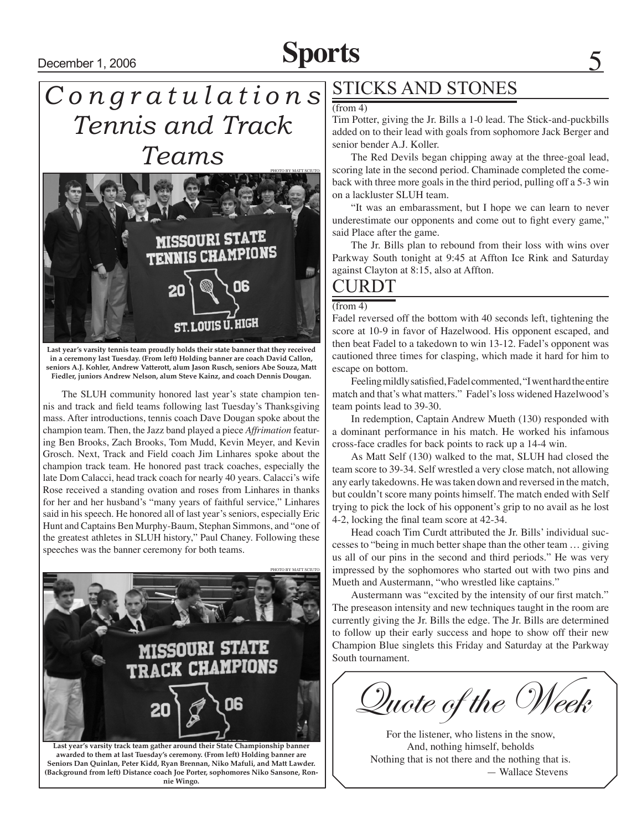# **December 1, 2006 Sports** 5

### *C o n g r a t u l a t i o n s Tennis and Track Teams*  photo by Matt Sciuto



**Last year's varsity tennis team proudly holds their state banner that they received in a ceremony last Tuesday. (From left) Holding banner are coach David Callon, seniors A.J. Kohler, Andrew Vatterott, alum Jason Rusch, seniors Abe Souza, Matt Fiedler, juniors Andrew Nelson, alum Steve Kainz, and coach Dennis Dougan.**

The SLUH community honored last year's state champion tennis and track and field teams following last Tuesday's Thanksgiving mass. After introductions, tennis coach Dave Dougan spoke about the champion team. Then, the Jazz band played a piece *Affrimation* featuring Ben Brooks, Zach Brooks, Tom Mudd, Kevin Meyer, and Kevin Grosch. Next, Track and Field coach Jim Linhares spoke about the champion track team. He honored past track coaches, especially the late Dom Calacci, head track coach for nearly 40 years. Calacci's wife Rose received a standing ovation and roses from Linhares in thanks for her and her husband's "many years of faithful service," Linhares said in his speech. He honored all of last year's seniors, especially Eric Hunt and Captains Ben Murphy-Baum, Stephan Simmons, and "one of the greatest athletes in SLUH history," Paul Chaney. Following these speeches was the banner ceremony for both teams.



**Last year's varsity track team gather around their State Championship banner awarded to them at last Tuesday's ceremony. (From left) Holding banner are Seniors Dan Quinlan, Peter Kidd, Ryan Brennan, Niko Mafuli, and Matt Lawder. (Background from left) Distance coach Joe Porter, sophomores Niko Sansone, Ronnie Wingo.**

### STICKS AND STONES

### (from 4)

Tim Potter, giving the Jr. Bills a 1-0 lead. The Stick-and-puckbills added on to their lead with goals from sophomore Jack Berger and senior bender A.J. Koller.

The Red Devils began chipping away at the three-goal lead, scoring late in the second period. Chaminade completed the comeback with three more goals in the third period, pulling off a 5-3 win on a lackluster SLUH team.

"It was an embarassment, but I hope we can learn to never underestimate our opponents and come out to fight every game," said Place after the game.

The Jr. Bills plan to rebound from their loss with wins over Parkway South tonight at 9:45 at Affton Ice Rink and Saturday against Clayton at 8:15, also at Affton.

### CURDT

### $(from 4)$

Fadel reversed off the bottom with 40 seconds left, tightening the score at 10-9 in favor of Hazelwood. His opponent escaped, and then beat Fadel to a takedown to win 13-12. Fadel's opponent was cautioned three times for clasping, which made it hard for him to escape on bottom.

Feeling mildly satisfied, Fadel commented, "I went hard the entire match and that's what matters." Fadel's loss widened Hazelwood's team points lead to 39-30.

In redemption, Captain Andrew Mueth (130) responded with a dominant performance in his match. He worked his infamous cross-face cradles for back points to rack up a 14-4 win.

As Matt Self (130) walked to the mat, SLUH had closed the team score to 39-34. Self wrestled a very close match, not allowing any early takedowns. He was taken down and reversed in the match, but couldn't score many points himself. The match ended with Self trying to pick the lock of his opponent's grip to no avail as he lost 4-2, locking the final team score at 42-34.

Head coach Tim Curdt attributed the Jr. Bills' individual successes to "being in much better shape than the other team … giving us all of our pins in the second and third periods." He was very impressed by the sophomores who started out with two pins and Mueth and Austermann, "who wrestled like captains."

Austermann was "excited by the intensity of our first match." The preseason intensity and new techniques taught in the room are currently giving the Jr. Bills the edge. The Jr. Bills are determined to follow up their early success and hope to show off their new Champion Blue singlets this Friday and Saturday at the Parkway South tournament.

Quote of the Week

For the listener, who listens in the snow, And, nothing himself, beholds Nothing that is not there and the nothing that is. — Wallace Stevens